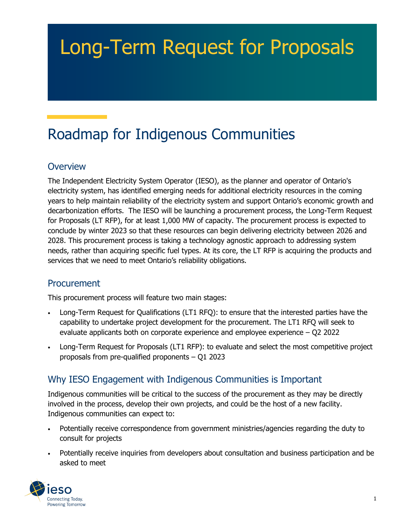# Long-Term Request for Proposals

# Roadmap for Indigenous Communities

### **Overview**

The Independent Electricity System Operator (IESO), as the planner and operator of Ontario's electricity system, has identified emerging needs for additional electricity resources in the coming years to help maintain reliability of the electricity system and support Ontario's economic growth and decarbonization efforts. The IESO will be launching a procurement process, the Long-Term Request for Proposals (LT RFP), for at least 1,000 MW of capacity. The procurement process is expected to conclude by winter 2023 so that these resources can begin delivering electricity between 2026 and 2028. This procurement process is taking a technology agnostic approach to addressing system needs, rather than acquiring specific fuel types. At its core, the LT RFP is acquiring the products and services that we need to meet Ontario's reliability obligations.

#### **Procurement**

This procurement process will feature two main stages:

- Long-Term Request for Qualifications (LT1 RFQ): to ensure that the interested parties have the capability to undertake project development for the procurement. The LT1 RFQ will seek to evaluate applicants both on corporate experience and employee experience – Q2 2022
- Long-Term Request for Proposals (LT1 RFP): to evaluate and select the most competitive project proposals from pre-qualified proponents – Q1 2023

# Why IESO Engagement with Indigenous Communities is Important

Indigenous communities will be critical to the success of the procurement as they may be directly involved in the process, develop their own projects, and could be the host of a new facility. Indigenous communities can expect to:

- Potentially receive correspondence from government ministries/agencies regarding the duty to consult for projects
- Potentially receive inquiries from developers about consultation and business participation and be asked to meet

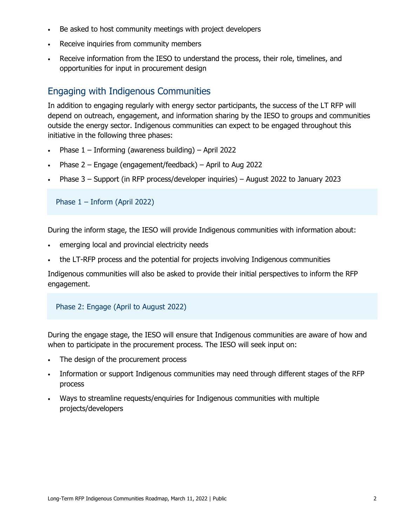- Be asked to host community meetings with project developers
- Receive inquiries from community members
- Receive information from the IESO to understand the process, their role, timelines, and opportunities for input in procurement design

## Engaging with Indigenous Communities

In addition to engaging regularly with energy sector participants, the success of the LT RFP will depend on outreach, engagement, and information sharing by the IESO to groups and communities outside the energy sector. Indigenous communities can expect to be engaged throughout this initiative in the following three phases:

- Phase  $1$  Informing (awareness building) April 2022
- Phase 2 Engage (engagement/feedback) April to Aug 2022
- Phase 3 Support (in RFP process/developer inquiries) August 2022 to January 2023

Phase 1 – Inform (April 2022)

During the inform stage, the IESO will provide Indigenous communities with information about:

- emerging local and provincial electricity needs
- the LT-RFP process and the potential for projects involving Indigenous communities

Indigenous communities will also be asked to provide their initial perspectives to inform the RFP engagement.

#### Phase 2: Engage (April to August 2022)

During the engage stage, the IESO will ensure that Indigenous communities are aware of how and when to participate in the procurement process. The IESO will seek input on:

- The design of the procurement process
- Information or support Indigenous communities may need through different stages of the RFP process
- Ways to streamline requests/enquiries for Indigenous communities with multiple projects/developers